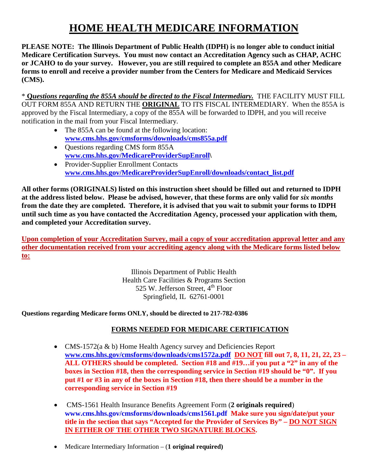# **HOME HEALTH MEDICARE INFORMATION**

**PLEASE NOTE: The Illinois Department of Public Health (IDPH) is no longer able to conduct initial Medicare Certification Surveys. You must now contact an Accreditation Agency such as CHAP, ACHC or JCAHO to do your survey. However, you are still required to complete an 855A and other Medicare forms to enroll and receive a provider number from the Centers for Medicare and Medicaid Services (CMS).** 

\* **Q***uestions regarding the 855A should be directed to the Fiscal Intermediary.* THE FACILITY MUST FILL OUT FORM 855A AND RETURN THE **ORIGINAL** TO ITS FISCAL INTERMEDIARY. When the 855A is approved by the Fiscal Intermediary, a copy of the 855A will be forwarded to IDPH, and you will receive notification in the mail from your Fiscal Intermediary.

- The 855A can be found at the following location: **[www.cms.hhs.gov/cmsforms/downloads/cms855a.pdf](http://www.cms.hhs.gov/cmsforms/downloads/cms855a.pdf)**
- Questions regarding CMS form 855A **[www.cms.hhs.gov/MedicareProviderSupEnroll\](http://www.cms.hhs.gov/MedicareProviderSupEnroll)**
- Provider-Supplier Enrollment Contacts **[www.cms.hhs.gov/MedicareProviderSupEnroll/downloads/contact\\_list.pdf](http://www.cms.hhs.gov/MedicareProviderSupEnroll/downloads/contact_list.pdf)**

**All other forms (ORIGINALS) listed on this instruction sheet should be filled out and returned to IDPH at the address listed below. Please be advised, however, that these forms are only valid for** *six months* **from the date they are completed. Therefore, it is advised that you wait to submit your forms to IDPH until such time as you have contacted the Accreditation Agency, processed your application with them, and completed your Accreditation survey.**

**Upon completion of your Accreditation Survey, mail a copy of your accreditation approval letter and any other documentation received from your accrediting agency along with the Medicare forms listed below to:**

> Illinois Department of Public Health Health Care Facilities & Programs Section 525 W. Jefferson Street,  $4<sup>th</sup>$  Floor Springfield, IL 62761-0001

**Questions regarding Medicare forms ONLY, should be directed to 217-782-0386**

## **FORMS NEEDED FOR MEDICARE CERTIFICATION**

- CMS-1572(a & b) Home Health Agency survey and Deficiencies Report **[www.cms.hhs.gov/cmsforms/downloads/cms1572a.pdf](http://www.cms.hhs.gov/cmsforms/downloads/cms1572a.pdf) DO NOT fill out 7, 8, 11, 21, 22, 23 – ALL OTHERS should be completed. Section #18 and #19…if you put a "2" in any of the boxes in Section #18, then the corresponding service in Section #19 should be "0". If you put #1 or #3 in any of the boxes in Section #18, then there should be a number in the corresponding service in Section #19**
- CMS-1561 Health Insurance Benefits Agreement Form (**2 originals required**) **[www.cms.hhs.gov/cmsforms/downloads/cms1561.pdf](http://www.cms.hhs.gov/cmsforms/downloads/cms1561.pdf) Make sure you sign/date/put your title in the section that says "Accepted for the Provider of Services By" – DO NOT SIGN IN EITHER OF THE OTHER TWO SIGNATURE BLOCKS.**
- Medicare Intermediary Information (**1 original required)**